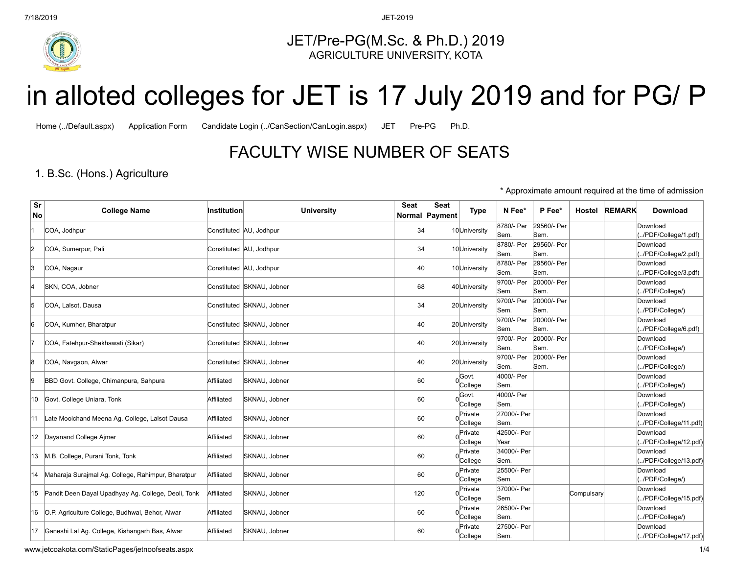

JET/Pre-PG(M.Sc. & Ph.D.) 2019 AGRICULTURE UNIVERSITY, KOTA

# FACULTY WISE NUMBER OF SEATS

## 1. B.Sc. (Hons.) Agriculture

|          |                                                        |             | <b>FACULTY WISE NUMBER OF SEATS</b> |      |                          |                      |                            |                             |            |               |                                                        |
|----------|--------------------------------------------------------|-------------|-------------------------------------|------|--------------------------|----------------------|----------------------------|-----------------------------|------------|---------------|--------------------------------------------------------|
|          | 1. B.Sc. (Hons.) Agriculture                           |             |                                     |      |                          |                      |                            |                             |            |               | * Approximate amount required at the time of admission |
| Sr<br>No | <b>College Name</b>                                    | Institution | <b>University</b>                   | Seat | Seat<br>Normal   Payment | <b>Type</b>          | N Fee*                     | P Fee*                      |            | Hostel REMARK | <b>Download</b>                                        |
|          | COA, Jodhpur                                           |             | Constituted AU, Jodhpur             | 34   |                          | 10 University        | 8780/- Per                 | 29560/- Per                 |            |               | Download                                               |
| 2        | COA, Sumerpur, Pali                                    |             | Constituted AU, Jodhpur             | 34   |                          | 10 University        | Sem.<br>8780/- Per<br>Sem. | Sem.<br>29560/- Per<br>Sem. |            |               | /PDF/College/1.pdf)<br>Download<br>/PDF/College/2.pdf) |
| ß        | COA, Nagaur                                            |             | Constituted AU, Jodhpur             | 40   |                          | 10University         | 8780/- Per<br>Sem.         | 29560/- Per<br>Sem.         |            |               | Download<br>/PDF/College/3.pdf)                        |
|          | SKN, COA, Jobner                                       |             | Constituted SKNAU, Jobner           | 68   |                          | 40University         | 9700/- Per<br>Sem.         | 20000/- Per<br>Sem.         |            |               | Download<br>/PDF/College/)                             |
| 5        | COA, Lalsot, Dausa                                     |             | Constituted SKNAU, Jobner           | 34   |                          | 20 University        | 9700/- Per<br>Sem.         | 20000/- Per<br>Sem.         |            |               | Download<br>/PDF/College/)                             |
| 6        | COA, Kumher, Bharatpur                                 |             | Constituted SKNAU, Jobner           | 40   |                          | 20 University        | 9700/- Per<br>Sem.         | 20000/- Per<br>Sem.         |            |               | Download<br>/PDF/College/6.pdf)                        |
| 17       | COA, Fatehpur-Shekhawati (Sikar)                       |             | Constituted SKNAU, Jobner           | 40   |                          | 20 University        | 9700/- Per<br>Sem.         | 20000/- Per<br>Sem.         |            |               | Download<br>/PDF/College/)                             |
| 8        | COA, Navgaon, Alwar                                    |             | Constituted SKNAU, Jobner           | 40   |                          | 20University         | 9700/- Per<br>Sem.         | 20000/- Per<br>Sem.         |            |               | Download<br>/PDF/College/)                             |
| ļ9       | BBD Govt. College, Chimanpura, Sahpura                 | Affiliated  | SKNAU, Jobner                       | 60   |                          | Govt.<br>$0$ College | 4000/- Per<br>Sem.         |                             |            |               | Download<br>/PDF/College/)                             |
| 10       | Govt. College Uniara, Tonk                             | Affiliated  | SKNAU, Jobner                       | 60   |                          | Govt.<br>College     | 4000/- Per<br>Sem.         |                             |            |               | Download<br>/PDF/College/)                             |
| 11       | Late Moolchand Meena Ag. College, Lalsot Dausa         | Affiliated  | SKNAU, Jobner                       | 60   |                          | Private<br>College   | 27000/- Per<br>Sem.        |                             |            |               | Download<br>(/PDF/College/11.pdf)                      |
| 12       | Dayanand College Ajmer                                 | Affiliated  | SKNAU, Jobner                       | 60   |                          | Private<br>College   | 42500/- Per<br>Year        |                             |            |               | Download<br>(/PDF/College/12.pdf)                      |
| 13       | M.B. College, Purani Tonk, Tonk                        | Affiliated  | SKNAU, Jobner                       | 60   |                          | Private<br>College   | 34000/- Per<br>Sem.        |                             |            |               | Download<br>/PDF/College/13.pdf                        |
| 14       | Maharaja Surajmal Ag. College, Rahimpur, Bharatpur     | Affiliated  | SKNAU, Jobner                       | 60   |                          | Private<br>College   | 25500/- Per<br>Sem.        |                             |            |               | Download<br>/PDF/College/)                             |
|          | 15 Pandit Deen Dayal Upadhyay Ag. College, Deoli, Tonk | Affiliated  | SKNAU, Jobner                       | 120  |                          | Private<br>College   | 37000/- Per<br>Sem.        |                             | Compulsary |               | Download<br>/PDF/College/15.pdf)                       |
|          | 16   O.P. Agriculture College, Budhwal, Behor, Alwar   | Affiliated  | SKNAU, Jobner                       | 60   |                          | Private<br>College   | 26500/- Per<br>Sem.        |                             |            |               | Download<br>/PDF/College/)                             |
|          |                                                        |             |                                     |      | 60                       | Private              | 27500/- Per                |                             |            |               | Download                                               |

www.jetcoakota.com/StaticPages/jetnoofseats.aspx 1/4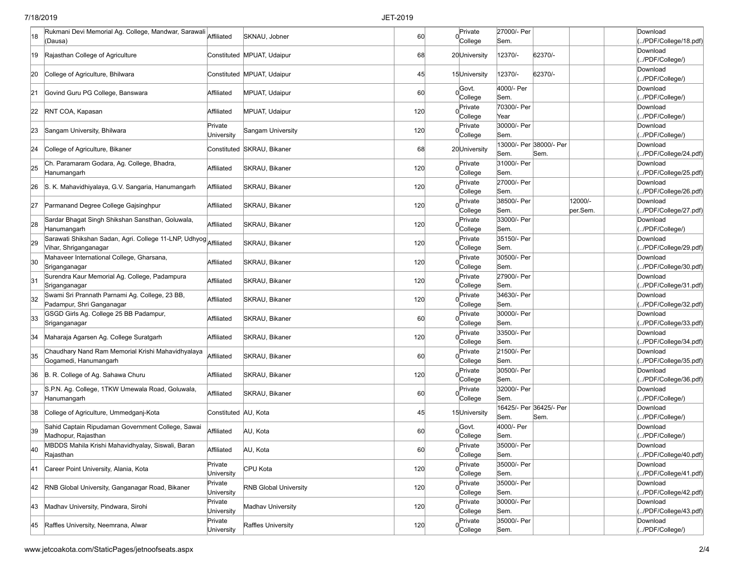### 7/18/2019 JET-2019

| 18  | Rukmani Devi Memorial Ag. College, Mandwar, Sarawali Affiliated<br>(Dausa) |                       | SKNAU, Jobner                | 60  | Private<br>College              | 27000/- Per<br>Sem. |                         |          | Download<br>/PDF/College/18.pdf)  |
|-----|----------------------------------------------------------------------------|-----------------------|------------------------------|-----|---------------------------------|---------------------|-------------------------|----------|-----------------------------------|
|     |                                                                            |                       |                              |     |                                 |                     |                         |          | Download                          |
| 19  | Rajasthan College of Agriculture                                           |                       | Constituted MPUAT, Udaipur   | 68  | 20University                    | 12370/-             | 62370/-                 |          | /PDF/College/)                    |
| 20  | College of Agriculture, Bhilwara                                           |                       | Constituted MPUAT, Udaipur   | 45  | 15University                    | 12370/-             | 62370/-                 |          | Download<br>(/PDF/College/)       |
|     |                                                                            |                       |                              |     | Govt.                           | 4000/- Per          |                         |          | Download                          |
| 21  | Govind Guru PG College, Banswara                                           | Affiliated            | MPUAT, Udaipur               | 60  | $0$ College                     | Sem.                |                         |          | /PDF/College/)                    |
| 22  | RNT COA, Kapasan                                                           | Affiliated            | <b>MPUAT, Udaipur</b>        | 120 | Private                         | 70300/- Per         |                         |          | Download                          |
|     |                                                                            | Private               |                              |     | College<br>Private              | Year<br>30000/- Per |                         |          | /PDF/College/)<br>Download        |
| 23  | Sangam University, Bhilwara                                                | <b>University</b>     | Sangam University            | 120 | College                         | Sem.                |                         |          | (/PDF/College/)                   |
| 24  | College of Agriculture, Bikaner                                            |                       | Constituted SKRAU, Bikaner   | 68  | 20University                    |                     | 13000/- Per 38000/- Per |          | Download                          |
|     |                                                                            |                       |                              |     |                                 | Sem.                | Sem.                    |          | (/PDF/College/24.pdf)             |
| 25  | Ch. Paramaram Godara, Ag. College, Bhadra,<br>Hanumangarh                  | Affiliated            | SKRAU, Bikaner               | 120 | Private<br>College              | 31000/- Per<br>Sem. |                         |          | Download<br>/PDF/College/25.pdf)  |
|     |                                                                            |                       |                              |     | Private                         | 27000/- Per         |                         |          | Download                          |
| 26  | S. K. Mahavidhiyalaya, G.V. Sangaria, Hanumangarh                          | Affiliated            | SKRAU, Bikaner               | 120 | College                         | Sem.                |                         |          | (/PDF/College/26.pdf)             |
| 27  | Parmanand Degree College Gajsinghpur                                       | Affiliated            | SKRAU, Bikaner               | 120 | Private                         | 38500/- Per         |                         | 12000/-  | Download                          |
|     | Sardar Bhagat Singh Shikshan Sansthan, Goluwala,                           |                       |                              |     | College<br>Private              | Sem.<br>33000/- Per |                         | per.Sem. | /PDF/College/27.pdf)<br>Download  |
| 28  | Hanumangarh                                                                | Affiliated            | SKRAU, Bikaner               | 120 | College                         | Sem.                |                         |          | (/PDF/College/)                   |
| 29  | Sarawati Shikshan Sadan, Agri. College 11-LNP, Udhyog Affiliated           |                       | SKRAU, Bikaner               | 120 | Private                         | 35150/- Per         |                         |          | Download                          |
|     | Vihar, Shriganganagar                                                      |                       |                              |     | College                         | Sem.                |                         |          | /PDF/College/29.pdf)              |
| 30  | Mahaveer International College, Gharsana,                                  | Affiliated            | SKRAU, Bikaner               | 120 | Private                         | 30500/- Per         |                         |          | Download                          |
|     | Sriganganagar<br>Surendra Kaur Memorial Ag. College, Padampura             |                       |                              |     | College<br>Private              | Sem.<br>27900/- Per |                         |          | /PDF/College/30.pdf)<br>Download  |
| 31  | Sriganganagar                                                              | Affiliated            | SKRAU, Bikaner               | 120 | College                         | Sem.                |                         |          | (/PDF/College/31.pdf)             |
| 32  | Swami Sri Prannath Parnami Ag. College, 23 BB,                             | Affiliated            | SKRAU, Bikaner               | 120 | Private                         | 34630/- Per         |                         |          | Download                          |
|     | Padampur, Shri Ganganagar                                                  |                       |                              |     | College                         | Sem.                |                         |          | /PDF/College/32.pdf               |
| 33  | GSGD Girls Ag. College 25 BB Padampur,<br>Sriganganagar                    | Affiliated            | SKRAU, Bikaner               | 60  | Private<br>College              | 30000/- Per<br>Sem. |                         |          | Download<br>(/PDF/College/33.pdf) |
|     |                                                                            |                       |                              |     | Private                         | 33500/- Per         |                         |          | Download                          |
| 34  | Maharaja Agarsen Ag. College Suratgarh                                     | Affiliated            | SKRAU, Bikaner               | 120 | College                         | Sem.                |                         |          | /PDF/College/34.pdf)              |
| 35  | Chaudhary Nand Ram Memorial Krishi Mahavidhyalaya                          | Affiliated            | SKRAU, Bikaner               | 60  | Private                         | 21500/- Per         |                         |          | Download                          |
|     | Gogamedi, Hanumangarh                                                      |                       |                              |     | College<br>Private              | Sem.<br>30500/- Per |                         |          | /PDF/College/35.pdf)<br>Download  |
| 36  | B. R. College of Ag. Sahawa Churu                                          | Affiliated            | SKRAU, Bikaner               | 120 | College                         | Sem.                |                         |          | (/PDF/College/36.pdf)             |
| 37  | S.P.N. Ag. College, 1TKW Umewala Road, Goluwala,                           | Affiliated            | SKRAU, Bikaner               | 60  | Private                         | 32000/- Per         |                         |          | Download                          |
|     | Hanumangarh                                                                |                       |                              |     | College                         | Sem.                |                         |          | (/PDF/College/)                   |
| 38  | College of Agriculture, Ummedganj-Kota                                     | Constituted AU, Kota  |                              | 45  | 15University                    |                     | 16425/- Per 36425/- Per |          | Download                          |
|     | Sahid Captain Ripudaman Government College, Sawai                          |                       |                              |     | Govt.                           | Sem.<br>4000/- Per  | Sem.                    |          | /PDF/College/)<br>Download        |
| 39  | Madhopur, Rajasthan                                                        | Affiliated            | AU, Kota                     | 60  | 0<br>College                    | Sem.                |                         |          | (/PDF/College/)                   |
| 40  | MBDDS Mahila Krishi Mahavidhyalay, Siswali, Baran                          | Affiliated            | AU, Kota                     | 60  | Private                         | 35000/- Per         |                         |          | Download                          |
|     | Rajasthan                                                                  |                       |                              |     | College                         | Sem.                |                         |          | /PDF/College/40.pdf)              |
| K41 | Career Point University, Alania, Kota                                      | Private<br>University | CPU Kota                     | 120 | Private<br>College              | 35000/- Per<br>Sem. |                         |          | Download<br>/PDF/College/41.pdf)  |
|     |                                                                            | Private               |                              |     | Private                         | 35000/- Per         |                         |          | Download                          |
| 42  | RNB Global University, Ganganagar Road, Bikaner                            | University            | <b>RNB Global University</b> | 120 | College                         | Sem.                |                         |          | /PDF/College/42.pdf)              |
| 43  | Madhav University, Pindwara, Sirohi                                        | Private               | Madhav University            | 120 | Private                         | 30000/- Per         |                         |          | Download                          |
|     |                                                                            | University<br>Private |                              |     | College                         | Sem.<br>35000/- Per |                         |          | /PDF/College/43.pdf)              |
| 45  | Raffles University, Neemrana, Alwar                                        | University            | Raffles University           | 120 | Private<br>College <sup>'</sup> | Sem.                |                         |          | Download<br>(/PDF/College/)       |
|     |                                                                            |                       |                              |     |                                 |                     |                         |          |                                   |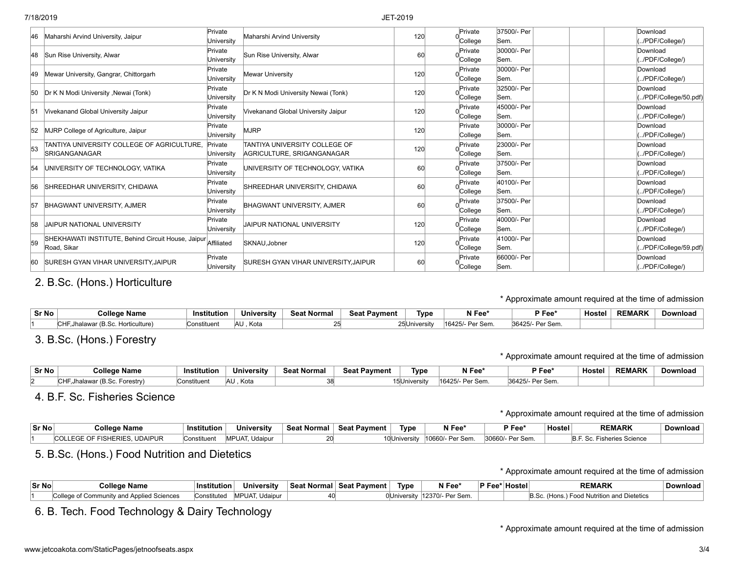|    | Maharshi Arvind University, Jaipur                                           | Private<br>University | Maharshi Arvind University                                  | 120 | Private<br>College | 37500/- Per<br>Sem. |  | Download<br>/PDF/College/)      |
|----|------------------------------------------------------------------------------|-----------------------|-------------------------------------------------------------|-----|--------------------|---------------------|--|---------------------------------|
|    | 48 Sun Rise University, Alwar                                                | Private<br>University | Sun Rise University, Alwar                                  | 60  | Private<br>College | 30000/- Per<br>Sem. |  | Download<br>/PDF/College/)      |
| 49 | Mewar University, Gangrar, Chittorgarh                                       | Private<br>University | Mewar University                                            | 120 | Private<br>College | 30000/- Per<br>Sem. |  | Download<br>/PDF/College/)      |
| 50 | Dr K N Modi University , Newai (Tonk)                                        | Private<br>University | Dr K N Modi University Newai (Tonk)                         | 120 | Private<br>College | 32500/- Per<br>Sem. |  | Download<br>/PDF/College/50.pdf |
| 51 | Vivekanand Global University Jaipur                                          | Private<br>University | Vivekanand Global University Jaipur                         | 120 | Private<br>College | 45000/- Per<br>Sem. |  | Download<br>/PDF/College/)      |
|    | 52 MJRP College of Agriculture, Jaipur                                       | Private<br>Universitv | <b>MJRP</b>                                                 | 120 | Private<br>College | 30000/- Per<br>Sem. |  | Download<br>/PDF/College/)      |
| 53 | TANTIYA UNIVERSITY COLLEGE OF AGRICULTURE.<br><b>SRIGANGANAGAR</b>           | Private<br>University | TANTIYA UNIVERSITY COLLEGE OF<br>AGRICULTURE, SRIGANGANAGAR | 120 | Private<br>College | 23000/- Per<br>Sem. |  | Download<br>/PDF/College/)      |
| 54 | UNIVERSITY OF TECHNOLOGY, VATIKA                                             | Private<br>Universitv | UNIVERSITY OF TECHNOLOGY, VATIKA                            | 60  | Private<br>College | 37500/- Per<br>Sem. |  | Download<br>/PDF/College/)      |
| 56 | SHREEDHAR UNIVERSITY, CHIDAWA                                                | Private<br>University | SHREEDHAR UNIVERSITY, CHIDAWA                               | 60  | Private<br>College | 40100/- Per<br>Sem. |  | Download<br>/PDF/College/)      |
| 57 | BHAGWANT UNIVERSITY, AJMER                                                   | Private<br>Universitv | BHAGWANT UNIVERSITY, AJMER                                  | 60  | Private<br>College | 37500/- Per<br>Sem. |  | Download<br>/PDF/College/)      |
| 58 | <b>JAIPUR NATIONAL UNIVERSITY</b>                                            | Private<br>University | JAIPUR NATIONAL UNIVERSITY                                  | 120 | Private<br>College | 40000/- Per<br>Sem. |  | Download<br>/PDF/College/)      |
| 59 | SHEKHAWATI INSTITUTE, Behind Circuit House, Jaipur Affiliated<br>Road, Sikar |                       | SKNAU.Jobner                                                | 120 | Private<br>College | 41000/- Per<br>Sem. |  | Download<br>/PDF/College/59.pdf |
| 60 | <b>SURESH GYAN VIHAR UNIVERSITY, JAIPUR</b>                                  | Private<br>University | <b>SURESH GYAN VIHAR UNIVERSITY.JAIPUR</b>                  | 60  | Private<br>College | 66000/- Per<br>Sem. |  | Download<br>/PDF/College/)      |

## 2. B.Sc. (Hons.) Horticulture

\* Approximate amount required at the time of admission

| Sr No | College Name              | <b>Institution</b> | University  | <b>Seat Normal</b> | <b>Seat Payment</b> | Type                      | N Fee*             | P Fee <sup>*</sup> | <b>Hostel</b> | <b>REMARK</b> | Download |
|-------|---------------------------|--------------------|-------------|--------------------|---------------------|---------------------------|--------------------|--------------------|---------------|---------------|----------|
|       | culture)<br>⊔orti<br>™ (H | Constituen         | lau<br>Kota |                    |                     | ∠5lUniversit <sup>,</sup> | 16425/<br>Per Sem. | 36425/<br>Per Sem. |               |               |          |

## 3. B.Sc. (Hons.) Forestry

### \* Approximate amount required at the time of admission

| Sr No | <b>College Name</b>                            | Institution | University  | <b>Seat Normal</b> | <b>Seat Payment</b> | Tvpe     | N Fee*          | P Fee              | <b>Hostel</b> | <b>REMARK</b> | Download |
|-------|------------------------------------------------|-------------|-------------|--------------------|---------------------|----------|-----------------|--------------------|---------------|---------------|----------|
|       | $\cdot$ (B.Sc.<br>™HF, Jhalawar (<br>Forestry) | Constituent | AU.<br>Kota |                    |                     | niversit | 16425/- Per Sem | 36425/<br>Per Sem. |               |               |          |

## 4. B.F. Sc. Fisheries Science

\* Approximate amount required at the time of admission

| Sr No | <b>College Name</b>           | Institution             | <b>University</b> | <b>Seat Normal</b> | <b>Seat Pavment</b> | Type          | N Fee*           | $P$ Fee $*$     | ⊦Hostel ¦ | <b>REMARK</b>           | Download |
|-------|-------------------------------|-------------------------|-------------------|--------------------|---------------------|---------------|------------------|-----------------|-----------|-------------------------|----------|
|       | COLLEGE OF FISHERIES, UDAIPUR | Constituen <sup>+</sup> | MPUAT, Udaipur    |                    |                     | 10 University | 10660/- Per Sem. | 30660/- Per Sem |           | ∴ Sc. Fisheries Science |          |

## 5. B.Sc. (Hons.) Food Nutrition and Dietetics

\* Approximate amount required at the time of admission

| Sr No | <b>College Name</b>                          | Institution | <b>University</b>     | Seat Normal | ∣ Seat Pavment ⊦ | Type           | N Fee <sup>®</sup> | $\overline{P}$ Fee $\overline{P}$ | <sup>⊣</sup> Hostel⊤ | <b>REMARK</b>                                    | Download |
|-------|----------------------------------------------|-------------|-----------------------|-------------|------------------|----------------|--------------------|-----------------------------------|----------------------|--------------------------------------------------|----------|
|       | Community and Applied Sciences<br>`ollege of | Constituted | <b>MPUAT, Udaipur</b> |             |                  | . OlUniversitv | 12370/- Per Sem.   |                                   |                      | <b>Food Nutrition and Dietetics</b><br>↑ (Hons.) |          |

## 6. B. Tech. Food Technology & Dairy Technology

\* Approximate amount required at the time of admission